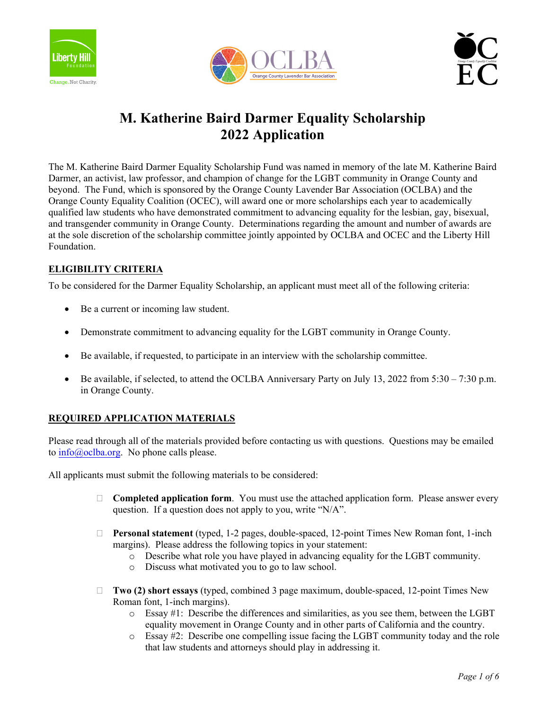





# **M. Katherine Baird Darmer Equality Scholarship 2022 Application**

The M. Katherine Baird Darmer Equality Scholarship Fund was named in memory of the late M. Katherine Baird Darmer, an activist, law professor, and champion of change for the LGBT community in Orange County and beyond. The Fund, which is sponsored by the Orange County Lavender Bar Association (OCLBA) and the Orange County Equality Coalition (OCEC), will award one or more scholarships each year to academically qualified law students who have demonstrated commitment to advancing equality for the lesbian, gay, bisexual, and transgender community in Orange County. Determinations regarding the amount and number of awards are at the sole discretion of the scholarship committee jointly appointed by OCLBA and OCEC and the Liberty Hill Foundation.

# **ELIGIBILITY CRITERIA**

To be considered for the Darmer Equality Scholarship, an applicant must meet all of the following criteria:

- Be a current or incoming law student.
- Demonstrate commitment to advancing equality for the LGBT community in Orange County.
- Be available, if requested, to participate in an interview with the scholarship committee.
- Be available, if selected, to attend the OCLBA Anniversary Party on July 13, 2022 from 5:30 7:30 p.m. in Orange County.

## **REQUIRED APPLICATION MATERIALS**

Please read through all of the materials provided before contacting us with questions. Questions may be emailed to info@oclba.org. No phone calls please.

All applicants must submit the following materials to be considered:

- □ **Completed application form**. You must use the attached application form. Please answer every question. If a question does not apply to you, write "N/A".
- **Personal statement** (typed, 1-2 pages, double-spaced, 12-point Times New Roman font, 1-inch margins). Please address the following topics in your statement:
	- $\circ$  Describe what role you have played in advancing equality for the LGBT community.
	- o Discuss what motivated you to go to law school.
- **Two (2) short essays** (typed, combined 3 page maximum, double-spaced, 12-point Times New Roman font, 1-inch margins).
	- o Essay #1: Describe the differences and similarities, as you see them, between the LGBT equality movement in Orange County and in other parts of California and the country.
	- o Essay #2: Describe one compelling issue facing the LGBT community today and the role that law students and attorneys should play in addressing it.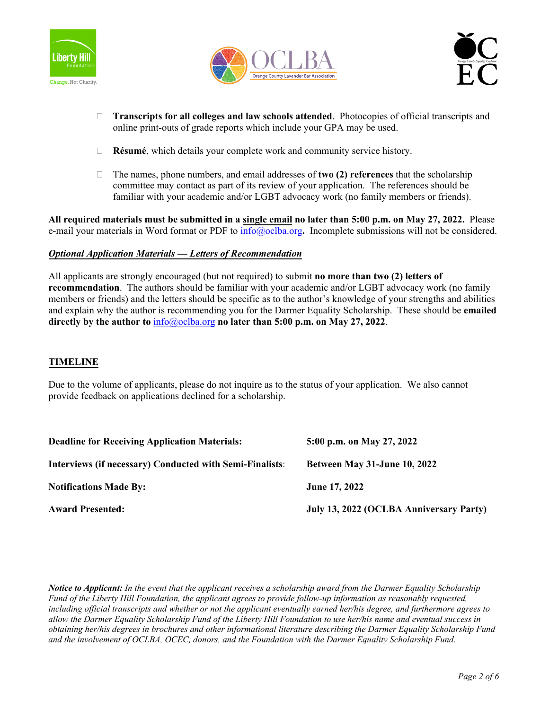





- **Transcripts for all colleges and law schools attended**. Photocopies of official transcripts and online print-outs of grade reports which include your GPA may be used.
- **Résumé**, which details your complete work and community service history.
- The names, phone numbers, and email addresses of **two (2) references** that the scholarship committee may contact as part of its review of your application. The references should be familiar with your academic and/or LGBT advocacy work (no family members or friends).

**All required materials must be submitted in a single email no later than 5:00 p.m. on May 27, 2022.** Please e-mail your materials in Word format or PDF to info@oclba.org**.** Incomplete submissions will not be considered.

#### *Optional Application Materials — Letters of Recommendation*

All applicants are strongly encouraged (but not required) to submit **no more than two (2) letters of recommendation**. The authors should be familiar with your academic and/or LGBT advocacy work (no family members or friends) and the letters should be specific as to the author's knowledge of your strengths and abilities and explain why the author is recommending you for the Darmer Equality Scholarship. These should be **emailed directly by the author to** info@oclba.org **no later than 5:00 p.m. on May 27, 2022**.

#### **TIMELINE**

Due to the volume of applicants, please do not inquire as to the status of your application. We also cannot provide feedback on applications declined for a scholarship.

| <b>Deadline for Receiving Application Materials:</b>     | 5:00 p.m. on May 27, 2022               |
|----------------------------------------------------------|-----------------------------------------|
| Interviews (if necessary) Conducted with Semi-Finalists: | <b>Between May 31-June 10, 2022</b>     |
| <b>Notifications Made By:</b>                            | <b>June 17, 2022</b>                    |
| <b>Award Presented:</b>                                  | July 13, 2022 (OCLBA Anniversary Party) |

*Notice to Applicant: In the event that the applicant receives a scholarship award from the Darmer Equality Scholarship Fund of the Liberty Hill Foundation, the applicant agrees to provide follow-up information as reasonably requested, including official transcripts and whether or not the applicant eventually earned her/his degree, and furthermore agrees to allow the Darmer Equality Scholarship Fund of the Liberty Hill Foundation to use her/his name and eventual success in obtaining her/his degrees in brochures and other informational literature describing the Darmer Equality Scholarship Fund and the involvement of OCLBA, OCEC, donors, and the Foundation with the Darmer Equality Scholarship Fund.*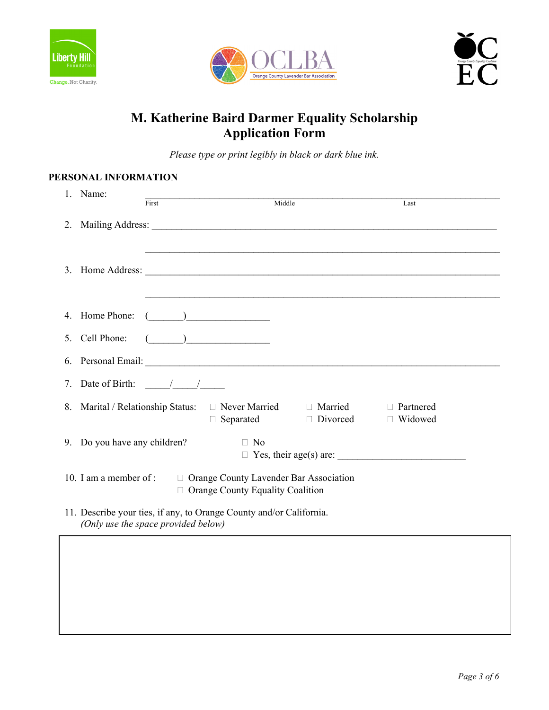





# **M. Katherine Baird Darmer Equality Scholarship Application Form**

*Please type or print legibly in black or dark blue ink.* 

# **PERSONAL INFORMATION**

| 1. Name:                                                                                                                                                                                                                                                                                                                                                                              |                               |
|---------------------------------------------------------------------------------------------------------------------------------------------------------------------------------------------------------------------------------------------------------------------------------------------------------------------------------------------------------------------------------------|-------------------------------|
| First<br>Middle                                                                                                                                                                                                                                                                                                                                                                       | Last                          |
|                                                                                                                                                                                                                                                                                                                                                                                       |                               |
|                                                                                                                                                                                                                                                                                                                                                                                       |                               |
| 4. Home Phone:<br>$\begin{picture}(20,10) \put(0,0){\line(1,0){10}} \put(15,0){\line(1,0){10}} \put(15,0){\line(1,0){10}} \put(15,0){\line(1,0){10}} \put(15,0){\line(1,0){10}} \put(15,0){\line(1,0){10}} \put(15,0){\line(1,0){10}} \put(15,0){\line(1,0){10}} \put(15,0){\line(1,0){10}} \put(15,0){\line(1,0){10}} \put(15,0){\line(1,0){10}} \put(15,0){\line(1$                 |                               |
| $\begin{picture}(20,10) \put(0,0){\vector(1,0){100}} \put(15,0){\vector(1,0){100}} \put(15,0){\vector(1,0){100}} \put(15,0){\vector(1,0){100}} \put(15,0){\vector(1,0){100}} \put(15,0){\vector(1,0){100}} \put(15,0){\vector(1,0){100}} \put(15,0){\vector(1,0){100}} \put(15,0){\vector(1,0){100}} \put(15,0){\vector(1,0){100}} \put(15,0){\vector(1,0){100}} \$<br>5. Cell Phone: |                               |
|                                                                                                                                                                                                                                                                                                                                                                                       |                               |
| 7. Date of Birth: $\frac{1}{\sqrt{2}}$                                                                                                                                                                                                                                                                                                                                                |                               |
| 8. Marital / Relationship Status: □ Never Married □ Married<br>$\Box$ Separated $\Box$ Divorced                                                                                                                                                                                                                                                                                       | $\Box$ Partnered<br>□ Widowed |
| 9. Do you have any children?<br>$\Box$ No<br>$\Box$ Yes, their age(s) are:                                                                                                                                                                                                                                                                                                            |                               |
| 10. I am a member of :<br>$\square$ Orange County Lavender Bar Association<br>$\Box$ Orange County Equality Coalition                                                                                                                                                                                                                                                                 |                               |
| 11. Describe your ties, if any, to Orange County and/or California.<br>(Only use the space provided below)                                                                                                                                                                                                                                                                            |                               |
|                                                                                                                                                                                                                                                                                                                                                                                       |                               |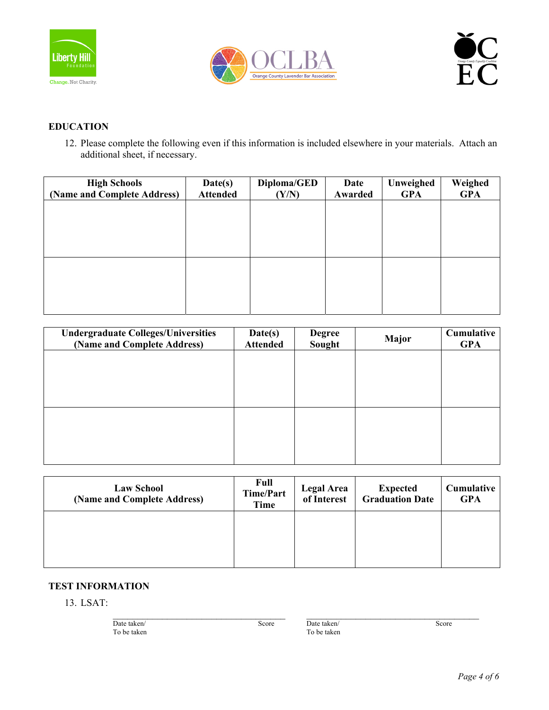





## **EDUCATION**

12. Please complete the following even if this information is included elsewhere in your materials. Attach an additional sheet, if necessary.

| <b>High Schools</b><br>(Name and Complete Address) | Date(s)<br><b>Attended</b> | Diploma/GED<br>(Y/N) | Date<br>Awarded | Unweighed<br><b>GPA</b> | Weighed<br><b>GPA</b> |
|----------------------------------------------------|----------------------------|----------------------|-----------------|-------------------------|-----------------------|
|                                                    |                            |                      |                 |                         |                       |
|                                                    |                            |                      |                 |                         |                       |
|                                                    |                            |                      |                 |                         |                       |
|                                                    |                            |                      |                 |                         |                       |
|                                                    |                            |                      |                 |                         |                       |
|                                                    |                            |                      |                 |                         |                       |

| <b>Undergraduate Colleges/Universities</b><br>(Name and Complete Address) | Date(s)<br><b>Attended</b> | <b>Degree</b><br>Sought | Major | Cumulative<br><b>GPA</b> |
|---------------------------------------------------------------------------|----------------------------|-------------------------|-------|--------------------------|
|                                                                           |                            |                         |       |                          |
|                                                                           |                            |                         |       |                          |
|                                                                           |                            |                         |       |                          |
|                                                                           |                            |                         |       |                          |
|                                                                           |                            |                         |       |                          |

| <b>Law School</b><br>(Name and Complete Address) | <b>Full</b><br><b>Time/Part</b><br>Time | <b>Legal Area</b><br>of Interest | <b>Expected</b><br><b>Graduation Date</b> | Cumulative<br><b>GPA</b> |
|--------------------------------------------------|-----------------------------------------|----------------------------------|-------------------------------------------|--------------------------|
|                                                  |                                         |                                  |                                           |                          |
|                                                  |                                         |                                  |                                           |                          |

## **TEST INFORMATION**

13. LSAT:

| Date taken/ | Score | Date taken/ | Score |
|-------------|-------|-------------|-------|
| To be taken |       | To be taken |       |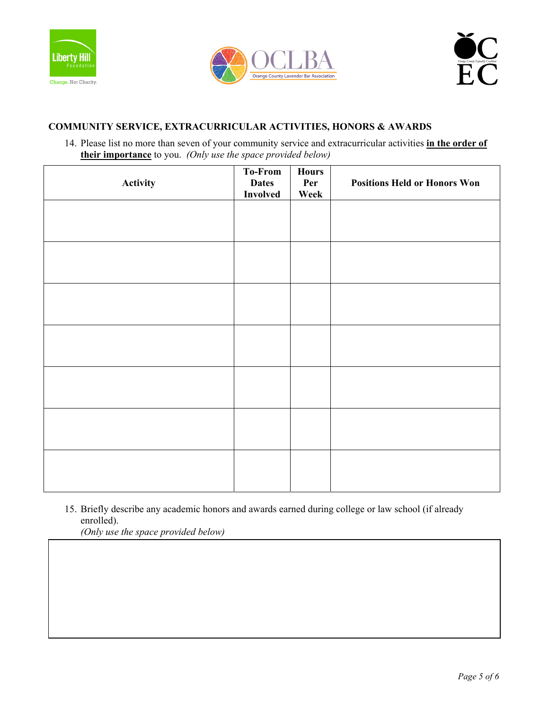





## **COMMUNITY SERVICE, EXTRACURRICULAR ACTIVITIES, HONORS & AWARDS**

14. Please list no more than seven of your community service and extracurricular activities **in the order of their importance** to you. *(Only use the space provided below)*

| Activity | To-From<br><b>Dates</b><br><b>Involved</b> | <b>Hours</b><br>Per<br>Week | <b>Positions Held or Honors Won</b> |
|----------|--------------------------------------------|-----------------------------|-------------------------------------|
|          |                                            |                             |                                     |
|          |                                            |                             |                                     |
|          |                                            |                             |                                     |
|          |                                            |                             |                                     |
|          |                                            |                             |                                     |
|          |                                            |                             |                                     |
|          |                                            |                             |                                     |
|          |                                            |                             |                                     |

15. Briefly describe any academic honors and awards earned during college or law school (if already enrolled).

*(Only use the space provided below)*